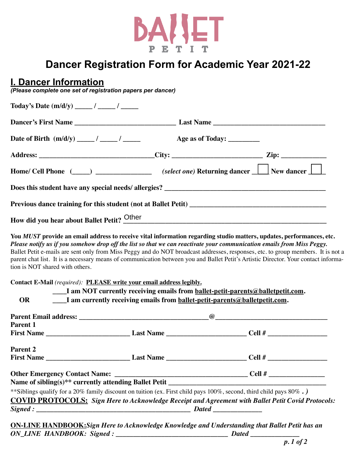

# **Dancer Registration Form for Academic Year 2021-22**

# **I. Dancer Information**

*(Please complete one set of registration papers per dancer)*

| Date of Birth $(m/d/y)$ _____/ _____/ | Age as of Today: _________                                                                                                                                                                                                                                                                                                                                                                       |                                    |
|---------------------------------------|--------------------------------------------------------------------------------------------------------------------------------------------------------------------------------------------------------------------------------------------------------------------------------------------------------------------------------------------------------------------------------------------------|------------------------------------|
|                                       | Address: ________________________________City: _____________________________Zip: ___________________                                                                                                                                                                                                                                                                                             |                                    |
|                                       | Home/ Cell Phone (____) _______________ (select one) Returning dancer ____ New dancer ___                                                                                                                                                                                                                                                                                                        |                                    |
|                                       |                                                                                                                                                                                                                                                                                                                                                                                                  |                                    |
|                                       |                                                                                                                                                                                                                                                                                                                                                                                                  |                                    |
|                                       | How did you hear about Ballet Petit? Other Manuscript Ann and Solid Petit 3 Other Manuscript Ann and Manuscript Ann and Manuscript Ann and Manuscript Ann and Manuscript Ann and Manuscript Ann and Manuscript Ann and Manuscr                                                                                                                                                                   |                                    |
|                                       | Please notify us if you somehow drop off the list so that we can reactivate your communication emails from Miss Peggy.<br>Ballet Petit e-mails are sent only from Miss Peggy and do NOT broadcast addresses, responses, etc. to group members. It is not a<br>parent chat list. It is a necessary means of communication between you and Ballet Petit's Artistic Director. Your contact informa- |                                    |
| <b>OR</b>                             | Contact E-Mail (required): PLEASE write your email address legibly.<br>I am NOT currently receiving emails from ballet-petit-parents@balletpetit.com.<br>____I am currently receiving emails from ballet-petit-parents@balletpetit.com.                                                                                                                                                          |                                    |
| tion is NOT shared with others.       |                                                                                                                                                                                                                                                                                                                                                                                                  |                                    |
|                                       |                                                                                                                                                                                                                                                                                                                                                                                                  |                                    |
| <b>Parent 1</b>                       |                                                                                                                                                                                                                                                                                                                                                                                                  |                                    |
|                                       |                                                                                                                                                                                                                                                                                                                                                                                                  |                                    |
|                                       | <b>_____________ Last Name ___________</b>                                                                                                                                                                                                                                                                                                                                                       | ______________ Cell # ____________ |
|                                       |                                                                                                                                                                                                                                                                                                                                                                                                  |                                    |
| <b>Parent 2</b><br>First Name_        |                                                                                                                                                                                                                                                                                                                                                                                                  |                                    |
|                                       | ** Siblings qualify for a 20% family discount on tuition (ex. First child pays 100%, second, third child pays 80%.)<br><b>COVID PROTOCOLS:</b> Sign Here to Acknowledge Receipt and Agreement with Ballet Petit Covid Protocols:                                                                                                                                                                 |                                    |

**ON-LINE HANDBOOK:***Sign Here to Acknowledge Knowledge and Understanding that Ballet Petit has an ON\_LINE HANDBOOK: Signed : \_\_\_\_\_\_\_\_\_\_\_\_\_\_\_\_\_\_\_\_\_\_\_\_\_\_\_\_\_\_\_\_ Dated \_\_\_\_\_\_\_\_\_\_\_\_\_\_*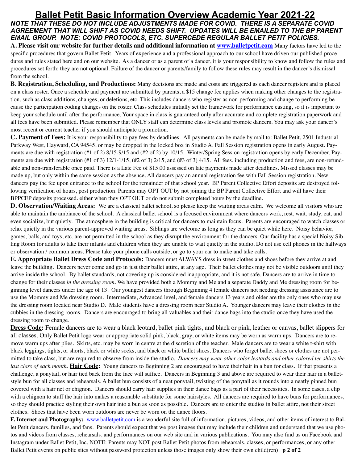# **Ballet Petit Basic Information Overview Academic Year 2021-22**

*NOTE THAT THESE DO NOT INCLUDE ADJUSTMENTS MADE FOR COVID. THERE IS A SEPARATE COVID AGREEMENT THAT WILL SHIFT AS COVID NEEDS SHIFT. UPDATES WILL BE EMAILED TO THE BP PARENT EMAIL GROUP. NOTE: COVID PROTOCOLS, ETC. SUPERCEDE REGULAR BALLET PETIT POLICIES.*

**A. Please visit our website for further details and additional information at [www.balletpetit.com](http://www.balletpetit.com)** Many factors have led to the specific procedures that govern Ballet Petit. Years of experience and a professional approach to our school have driven our published procedures and rules stated here and on our website. As a dancer or as a parent of a dancer, it is your responsibility to know and follow the rules and procedures set forth; they are not optional. Failure of the dancer or parents/family to follow these rules may result in the dancer's dismissal from the school.

**B. Registration, Scheduling, and Productions:** Many decisions are made and costs are triggered as each dancer registers and is placed on a class roster. Once a schedule and payment are submitted by parents, a \$15 change fee applies when making other changes to the registration, such as class additions, changes, or deletions, etc. This includes dancers who register as non-performing and change to performing because the participation coding changes on the roster. Class schedules initially set the framework for performance casting, so it is important to keep your schedule until after the performance. Your space in class is guaranteed only after accurate and complete registration paperwork and all fees have been submitted. Please remember that ONLY staff can determine class levels and promote dancers. You may ask your dancer's most recent or current teacher if you should anticipate a promotion.

**C. Payment of Fees:** It is your responsibility to pay fees by deadlines. All payments can be made by mail to: Ballet Petit, 2501 Industrial Parkway West, Hayward, CA 94545, or may be dropped in the locked box in Studio A. Fall Session registration opens in early August. Payments are due with registration (#1 of 2) 8/15-9/15 and (#2 of 2) by 10/15. Winter/Spring Session registration opens by early December. Payments are due with registration (#1 of 3)  $12/1-1/15$ , (#2 of 3)  $2/15$ , and (#3 of 3)  $4/15$ . All fees, including production and fees, are non-refundable and non-transferable once paid. There is a Late Fee of \$15.00 assessed on late payments made after deadlines. Missed classes may be made up, but only within the same session as the absence. All dancers pay an annual registration fee with Fall Session registration. New dancers pay the fee upon entrance to the school for the remainder of that school year. BP Parent Collective Effort deposits are destroyed following verification of hours, post production. Parents may OPT OUT by not joining the BP Parent Collective Effort and will have their BPPCEP deposits processed. either when they OPT OUT or do not submit completed hours by the deadline.

**D. Observation/Waiting Areas:** We are a classical ballet school, so please keep the waiting areas calm. We welcome all visitors who are able to maintain the ambiance of the school. A classical ballet school is a focused environment where dancers work, rest, wait, study, eat, and even socialize, but quietly. The atmosphere in the building is critical for dancers to maintain focus. Parents are encouraged to watch classes or relax quietly in the various parent-approved waiting areas. Siblings are welcome as long as they can be quiet while here. Noisy behavior, games, balls, and toys, etc. are not permitted in the school as they disrupt the environment for the dancers. Our facility has a special Noisy Sibling Room for adults to take their infants and children when they are unable to wait quietly in the studio. Do not use cell phones in the hallways or observation / common areas. Please take your phone calls outside, or go to your car to make and take calls.

**E. Appropriate Ballet Dress Code and Protocols:** Dancers must ALWAYS dress in street clothes and shoes before they arrive at and leave the building. Dancers never come and go in just their ballet attire, at any age. Their ballet clothes may not be visible outdoors until they arrive inside the school. By ballet standards, not covering up is considered inappropriate, and it is not safe. Dancers are to arrive in time to change for their classes *in the dressing room*. We have provided both a Mommy and Me and a separate Daddy and Me dressing room for beginning level dancers under the age of 13. Our youngest dancers through Beginning 4 female dancers not needing dressing assistance are to use the Mommy and Me dressing room. Intermediate, Advanced level, and female dancers 13 years and older are the only ones who may use the dressing room located near Studio D. Male students have a dressing room near Studio A. Younger dancers may leave their clothes in the cubbies in the dressing rooms. Dancers are encouraged to bring all valuables and their dance bags into the studio once they have used the dressing room to change.

**Dress Code:** Female dancers are to wear a black leotard, ballet pink tights, and black or pink, leather or canvas, ballet slippers for all classes. Only Ballet Petit logo wear or appropriate solid pink, black, gray, or white items may be worn as warm ups. Dancers are to remove warm ups after plies. Skirts, etc. may be worn in centre at the discretion of the teacher. Male dancers are to wear a white t-shirt with black leggings, tights, or shorts, black or white socks, and black or white ballet shoes. Dancers who forget ballet shoes or clothes are not permitted to take class, but are required to observe from inside the studio. *Dancers may wear other color leotards and other colored tee shirts the last class of each month*. **Hair Code:** Young dancers to Beginning 2 are encouraged to have their hair in a bun for class. If that presents a challenge, a ponytail, or hair tied back from the face will suffice. Dancers in Beginning 3 and above are required to wear their hair in a balletstyle bun for all classes and rehearsals. A ballet bun consists of a neat ponytail, twisting of the ponytail as it rounds into a neatly pinned bun covered with a hair net or chignon. Dancers should carry hair supplies in their dance bags as a part of their necessities. In some cases, a clip with a chignon to stuff the hair into makes a reasonable substitute for some hairstyles. All dancers are required to have buns for performances, so they should practice styling their own hair into a bun as soon as possible. Dancers are to enter the studios in ballet attire, not their street clothes. Shoes that have been worn outdoors are never be worn on the dance floors.

**F. Internet and Photography:** [www.balletpetit.com](http://www.balletpetit.com) is a wonderful site full of information, pictures, videos, and other items of interest to Ballet Petit dancers, families, and fans. Parents should expect that we post images that may include their children and understand that we use photos and videos from classes, rehearsals, and performances on our web site and in various publications. You may also find us on Facebook and Instagram under Ballet Petit, Inc. NOTE: Parents may NOT post Ballet Petit photos from rehearsals, classes, or performances, or any other Ballet Petit events on public sites without password protection unless those images only show their own child(ren). **p 2 of 2**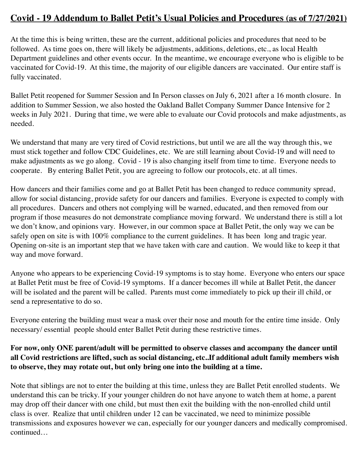## **Covid - 19 Addendum to Ballet Petit's Usual Policies and Procedures (as of 7/27/2021)**

At the time this is being written, these are the current, additional policies and procedures that need to be followed. As time goes on, there will likely be adjustments, additions, deletions, etc., as local Health Department guidelines and other events occur. In the meantime, we encourage everyone who is eligible to be vaccinated for Covid-19. At this time, the majority of our eligible dancers are vaccinated. Our entire staff is fully vaccinated.

Ballet Petit reopened for Summer Session and In Person classes on July 6, 2021 after a 16 month closure. In addition to Summer Session, we also hosted the Oakland Ballet Company Summer Dance Intensive for 2 weeks in July 2021. During that time, we were able to evaluate our Covid protocols and make adjustments, as needed.

We understand that many are very tired of Covid restrictions, but until we are all the way through this, we must stick together and follow CDC Guidelines, etc. We are still learning about Covid-19 and will need to make adjustments as we go along. Covid - 19 is also changing itself from time to time. Everyone needs to cooperate. By entering Ballet Petit, you are agreeing to follow our protocols, etc. at all times.

How dancers and their families come and go at Ballet Petit has been changed to reduce community spread, allow for social distancing, provide safety for our dancers and families. Everyone is expected to comply with all procedures. Dancers and others not complying will be warned, educated, and then removed from our program if those measures do not demonstrate compliance moving forward. We understand there is still a lot we don't know, and opinions vary. However, in our common space at Ballet Petit, the only way we can be safely open on site is with 100% compliance to the current guidelines. It has been long and tragic year. Opening on-site is an important step that we have taken with care and caution. We would like to keep it that way and move forward.

Anyone who appears to be experiencing Covid-19 symptoms is to stay home. Everyone who enters our space at Ballet Petit must be free of Covid-19 symptoms. If a dancer becomes ill while at Ballet Petit, the dancer will be isolated and the parent will be called. Parents must come immediately to pick up their ill child, or send a representative to do so.

Everyone entering the building must wear a mask over their nose and mouth for the entire time inside. Only necessary/ essential people should enter Ballet Petit during these restrictive times.

### **For now, only ONE parent/adult will be permitted to observe classes and accompany the dancer until all Covid restrictions are lifted, such as social distancing, etc..If additional adult family members wish to observe, they may rotate out, but only bring one into the building at a time.**

Note that siblings are not to enter the building at this time, unless they are Ballet Petit enrolled students. We understand this can be tricky. If your younger children do not have anyone to watch them at home, a parent may drop off their dancer with one child, but must then exit the building with the non-enrolled child until class is over. Realize that until children under 12 can be vaccinated, we need to minimize possible transmissions and exposures however we can, especially for our younger dancers and medically compromised. continued…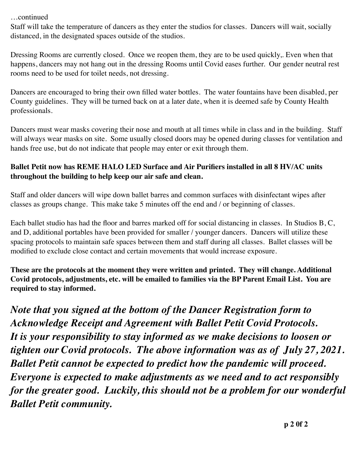…continued

Staff will take the temperature of dancers as they enter the studios for classes. Dancers will wait, socially distanced, in the designated spaces outside of the studios.

Dressing Rooms are currently closed. Once we reopen them, they are to be used quickly,. Even when that happens, dancers may not hang out in the dressing Rooms until Covid eases further. Our gender neutral rest rooms need to be used for toilet needs, not dressing.

Dancers are encouraged to bring their own filled water bottles. The water fountains have been disabled, per County guidelines. They will be turned back on at a later date, when it is deemed safe by County Health professionals.

Dancers must wear masks covering their nose and mouth at all times while in class and in the building. Staff will always wear masks on site. Some usually closed doors may be opened during classes for ventilation and hands free use, but do not indicate that people may enter or exit through them.

### **Ballet Petit now has REME HALO LED Surface and Air Purifiers installed in all 8 HV/AC units throughout the building to help keep our air safe and clean.**

Staff and older dancers will wipe down ballet barres and common surfaces with disinfectant wipes after classes as groups change. This make take 5 minutes off the end and / or beginning of classes.

Each ballet studio has had the floor and barres marked off for social distancing in classes. In Studios B, C, and D, additional portables have been provided for smaller / younger dancers. Dancers will utilize these spacing protocols to maintain safe spaces between them and staff during all classes. Ballet classes will be modified to exclude close contact and certain movements that would increase exposure.

**These are the protocols at the moment they were written and printed. They will change. Additional Covid protocols, adjustments, etc. will be emailed to families via the BP Parent Email List. You are required to stay informed.** 

*Note that you signed at the bottom of the Dancer Registration form to Acknowledge Receipt and Agreement with Ballet Petit Covid Protocols. It is your responsibility to stay informed as we make decisions to loosen or tighten our Covid protocols. The above information was as of July 27, 2021. Ballet Petit cannot be expected to predict how the pandemic will proceed. Everyone is expected to make adjustments as we need and to act responsibly for the greater good. Luckily, this should not be a problem for our wonderful Ballet Petit community.*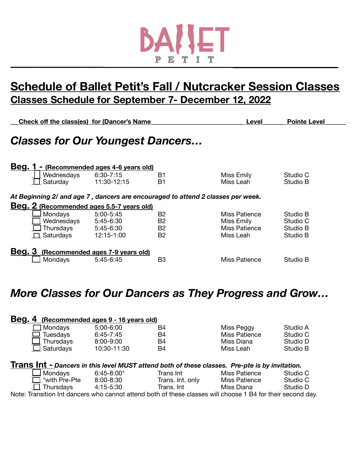

# **Schedule of Ballet Petit's Fall / Nutcracker Session Classes Classes Schedule for September 7- December 12, 2022**

|               |                        | Check off the class(es) for (Dancer's Name | Level          | <b>Pointe Level</b>                                                             |                      |
|---------------|------------------------|--------------------------------------------|----------------|---------------------------------------------------------------------------------|----------------------|
|               |                        | <b>Classes for Our Youngest Dancers</b>    |                |                                                                                 |                      |
| <u>Beg.</u>   |                        | - (Recommended ages 4-6 years old)         |                |                                                                                 |                      |
|               | Wednesdays<br>Saturday | $6:30 - 7:15$<br>11:30-12:15               | B1<br>B1       | Miss Emily<br>Miss Leah                                                         | Studio C<br>Studio B |
|               |                        |                                            |                |                                                                                 |                      |
|               |                        |                                            |                | At Beginning 2/ and age 7, dancers are encouraged to attend 2 classes per week. |                      |
|               |                        | Beg. 2 (Recommended ages 5.5-7 years old)  |                |                                                                                 |                      |
|               | Mondays                | $5:00 - 5:45$                              | B <sub>2</sub> | Miss Patience                                                                   | Studio B             |
|               | Wednesdays             | 5:45-6:30                                  | B <sub>2</sub> | Miss Emily                                                                      | Studio C             |
|               | Thursdays              | 5:45-6:30                                  | B <sub>2</sub> | Miss Patience                                                                   | Studio B             |
|               | $\Box$ Saturdays       | 12:15-1:00                                 | <b>B2</b>      | Miss Leah                                                                       | Studio B             |
| <b>Beg. 3</b> |                        | (Recommended ages 7-9 years old)           |                |                                                                                 |                      |
|               | Mondays                | $5:45-6:45$                                | B <sub>3</sub> | Miss Patience                                                                   | Studio B             |

# *More Classes for Our Dancers as They Progress and Grow…*

| Beg. |                   | (Recommended ages 9 - 16 years old) |                                                                                                             |                      |          |
|------|-------------------|-------------------------------------|-------------------------------------------------------------------------------------------------------------|----------------------|----------|
|      | Mondays           | 5:00-6:00                           | B4                                                                                                          | Miss Peggy           | Studio A |
|      | Tuesdays          | $6:45 - 7:45$                       | B4                                                                                                          | <b>Miss Patience</b> | Studio C |
|      | $\perp$ Thursdays | $8:00 - 9:00$                       | B4                                                                                                          | Miss Diana           | Studio D |
|      | $\Box$ Saturdays  | 10:30-11:30                         | B4                                                                                                          | Miss Leah            | Studio B |
|      |                   |                                     |                                                                                                             |                      |          |
|      |                   |                                     | Trans Int - Dancers in this level MUST attend both of these classes. Pre-pte is by invitation.              |                      |          |
|      | ⊿ Mondays         | $6:45 - 8:00*$                      | Trans Int                                                                                                   | Miss Patience        | Studio C |
|      | *with Pre-Pte     | $8:00 - 8:30$                       | Trans. Int. only                                                                                            | Miss Patience        | Studio C |
|      | $\Box$ Thursdays  | 4:15-5:30                           | Trans. Int                                                                                                  | Miss Diana           | Studio D |
|      |                   |                                     | Note: Transition Int dancers who cannot attend both of these classes will choose 1 B4 for their second day. |                      |          |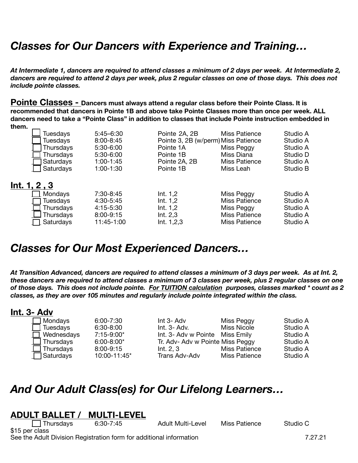# *Classes for Our Dancers with Experience and Training…*

*At Intermediate 1, dancers are required to attend classes a minimum of 2 days per week. At Intermediate 2, dancers are required to attend 2 days per week, plus 2 regular classes on one of those days. This does not include pointe classes.* 

**Pointe Classes - Dancers must always attend a regular class before their Pointe Class. It is recommended that dancers in Pointe 1B and above take Pointe Classes more than once per week. ALL dancers need to take a "Pointe Class" in addition to classes that include Pointe instruction embedded in them.** 

| Tuesdays<br><b>Tuesdays</b><br>Thursdays<br>Thursdays<br>Saturdays<br>Saturdays | $5:45 - 6:30$<br>$8:00 - 8:45$<br>$5:30-6:00$<br>5:30-6:00<br>1:00-1:45<br>1:00-1:30 | Pointe 2A, 2B<br>Pointe 3, 2B (w/perm) Miss Patience<br>Pointe 1A<br>Pointe 1B<br>Pointe 2A, 2B<br>Pointe 1B | Miss Patience<br>Miss Peggy<br>Miss Diana<br><b>Miss Patience</b><br>Miss Leah            | Studio A<br>Studio A<br>Studio A<br>Studio D<br>Studio A<br>Studio B |
|---------------------------------------------------------------------------------|--------------------------------------------------------------------------------------|--------------------------------------------------------------------------------------------------------------|-------------------------------------------------------------------------------------------|----------------------------------------------------------------------|
| Int. 1, 2, 3<br>Mondays<br>Tuesdays<br>Thursdays<br>Thursdays<br>Saturdays      | 7:30-8:45<br>4:30-5:45<br>4:15-5:30<br>8:00-9:15<br>11:45-1:00                       | Int. $1,2$<br>Int. $1,2$<br>Int. $1,2$<br>Int. $2,3$<br>Int. 1,2,3                                           | Miss Peggy<br><b>Miss Patience</b><br>Miss Peggy<br><b>Miss Patience</b><br>Miss Patience | Studio A<br>Studio A<br>Studio A<br>Studio A<br>Studio A             |

# *Classes for Our Most Experienced Dancers…*

*At Transition Advanced, dancers are required to attend classes a minimum of 3 days per week. As at Int. 2, these dancers are required to attend classes a minimum of 3 classes per week, plus 2 regular classes on one of those days. This does not include pointe. For TUITION calculation purposes, classes marked \* count as 2 classes, as they are over 105 minutes and regularly include pointe integrated within the class.* 

### **Int. 3- Adv**

| Mondays         | 6. |
|-----------------|----|
| <b>Tuesdays</b> | 6: |
| Wednesdays      | 7: |
| Thursdays       | 6: |
| Thursdays       | 8: |
| Saturdays       | 11 |

\_\_\_ Mondays 6:00-7:30 Int 3- Adv Miss Peggy Studio A \_\_\_ Tuesdays 6:30-8:00 Int. 3- Adv. Miss Nicole Studio A Int. 3- Adv w Pointe Miss Emily<br>Tr. Adv- Adv w Pointe Miss Peggy and Studio A oo-8:00\* Tr. Adv- Adv w Pointe Miss Peggy Studio A<br>-00-9:15 Int. 2. 3 Miss Patience Studio A \_\_\_ Thursdays 8:00-9:15 Int. 2, 3 Miss Patience Studio A  $0:00-11:45^*$  Trans Adv-Adv

# *And Our Adult Class(es) for Our Lifelong Learners…*

### **ADULT BALLET / MULTI-LEVEL**

\_\_\_ Thursdays 6:30-7:45 Adult Multi-Level Miss Patience Studio C

\$15 per class See the Adult Division Registration form for additional information 7.27.21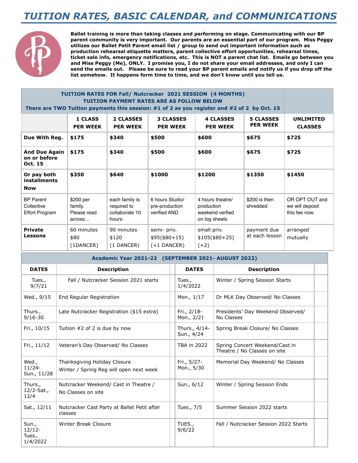# *TUITION RATES, BASIC CALENDAR, and COMMUNICATIONS*



**Ballet training is more than taking classes and performing on stage. Communicating with our BP parent community is very important. Our parents are an essential part of our program. Miss Peggy utilizes our Ballet Petit Parent email list / group to send out important information such as production rehearsal etiquette matters, parent collective effort opportunities, rehearsal times, ticket sale info, emergency notifications, etc. This is NOT a parent chat list. Emails go between you and Miss Peggy (Me), ONLY. I promise you, I do not share your email addresses, and only I can send the emails out. Please be sure to read your BP parent emails and notify us if you drop off the list somehow. It happens form time to time, and we don't know until you tell us.**

#### **TUITION RATES FOR Fall/ Nutcracker 2021 SESSION (4 MONTHS) TUITION PAYMENT RATES ARE AS FOLLOW BELOW There are TWO Tuition payments this session: #1 of 2 as you register and #2 of 2 by Oct. 15**

|                                                         | <b>1 CLASS</b><br><b>PER WEEK</b>             | <b>2 CLASSES</b><br><b>PER WEEK</b>                       | <b>3 CLASSES</b><br><b>PER WEEK</b>               | <b>4 CLASSES</b><br><b>PER WEEK</b>                                | <b>5 CLASSES</b><br><b>PER WEEK</b> | <b>UNLIMITED</b><br><b>CLASSES</b>                 |
|---------------------------------------------------------|-----------------------------------------------|-----------------------------------------------------------|---------------------------------------------------|--------------------------------------------------------------------|-------------------------------------|----------------------------------------------------|
| Due With Reg.                                           | \$175                                         | \$340                                                     | \$500                                             | \$600                                                              | \$675                               | \$725                                              |
| <b>And Due Again</b><br>on or before<br>Oct. 15         | \$175                                         | \$340                                                     | \$500                                             | \$600                                                              | \$675                               | \$725                                              |
| Or pay both<br>installments<br><b>Now</b>               | \$350                                         | \$640                                                     | \$1000                                            | \$1200                                                             | \$1350                              | \$1450                                             |
| <b>BP</b> Parent<br>Collective<br><b>Effort Program</b> | \$200 per<br>family.<br>Please read<br>across | each family is<br>required to<br>collaborate 10<br>hours: | 6 hours Studio/<br>pre-production<br>verified AND | 4 hours theatre/<br>production<br>weekend verfied<br>on log sheets | $$200$ is then<br>shredded          | OR OPT OUT and<br>we will deposit<br>this fee now. |
| <b>Private</b><br>Lessons                               | 60 minutes<br>\$80<br>(1DANCER)               | 90 minutes<br>\$120<br>(1 DANCER)                         | semi- priv.<br>$$95($ \$80+15)<br>$(+1$ DANCER)   | small priv.<br>$$105 ($80+25)$<br>$(+2)$                           | payment due<br>at each lesson       | arranged<br>mutually                               |

**Academic Year 2021-22 (SEPTEMBER 2021- AUGUST 2022)** 

| <b>DATES</b>                            | <b>Description</b>                                                      |  | <b>DATES</b>                | <b>Description</b>                                             |  |  |
|-----------------------------------------|-------------------------------------------------------------------------|--|-----------------------------|----------------------------------------------------------------|--|--|
| Tues.,<br>9/7/21                        | Fall / Nutcracker Session 2021 starts                                   |  | Tues.,<br>1/4/2022          | Winter / Spring Session Starts                                 |  |  |
| Wed., 9/15                              | End Regular Registration                                                |  | Mon., 1/17                  | Dr MLK Day Observed/ No Classes                                |  |  |
| Thurs.,<br>$9/16 - 30$                  | Late Nutcracker Registration (\$15 extra)                               |  | Fri., 2/18-<br>Mon., 2/21   | Presidents' Day Weekend Observed/<br>No Classes                |  |  |
| Fri., 10/15                             | Tuition $#2$ of 2 is due by now                                         |  | Thurs., 4/14-<br>Sun., 4/24 | Spring Break Closure/ No Classes                               |  |  |
| Fri., 11/12                             | Veteran's Day Observed/ No Classes                                      |  | <b>TBA in 2022</b>          | Spring Concert Weekend/Cast in<br>Theatre / No Classes on site |  |  |
| Wed.,<br>$11/24 -$<br>Sun., 11/28       | Thanksgiving Holiday Closure<br>Winter / Spring Reg will open next week |  | Fri., 5/27-<br>Mon., 5/30   | Memorial Day Weekend/ No Classes                               |  |  |
| Thurs.,<br>12/2-Sat.,<br>12/4           | Nutcracker Weekend/ Cast in Theatre /<br>No Classes on site             |  | Sun., 6/12                  | Winter / Spring Session Ends                                   |  |  |
| Sat., 12/11                             | Nutcracker Cast Party at Ballet Petit after<br>classes                  |  | Tues., 7/5                  | Summer Session 2022 starts                                     |  |  |
| Sun.,<br>$12/12-$<br>Tues.,<br>1/4/2022 | <b>Winter Break Closure</b>                                             |  | TUES.,<br>9/6/22            | Fall / Nutcracker Session 2022 Starts                          |  |  |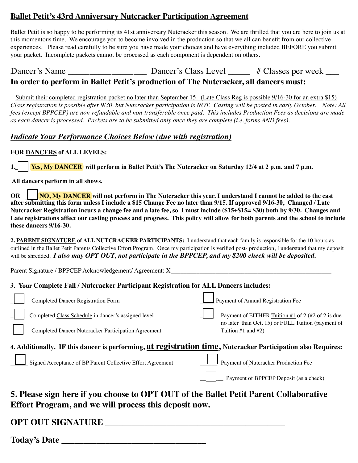### **Ballet Petit's 43rd Anniversary Nutcracker Participation Agreement**

Ballet Petit is so happy to be performing its 41st anniversary Nutcracker this season. We are thrilled that you are here to join us at this momentous time. We encourage you to become involved in the production so that we all can benefit from our collective experiences. Please read carefully to be sure you have made your choices and have everything included BEFORE you submit your packet. Incomplete packets cannot be processed as each component is dependent on others.

### In order to perform in Ballet Petit's production of The Nutcracker, all dancers must:

Submit their completed registration packet no later than September 15. (Late Class Reg is possible 9/16-30 for an extra \$15) Class registration is possible after 9/30, but Nutcracker participation is NOT. Casting will be posted in early October. Note: All fees (except BPPCEP) are non-refundable and non-transferable once paid. This includes Production Fees as decisions are made as each dancer is processed. Packets are to be submitted only once they are complete (i.e. forms AND fees).

### **Indicate Your Performance Choices Below (due with registration)**

#### FOR DANCERS of ALL LEVELS:

**Yes, My DANCER** will perform in Ballet Petit's The Nutcracker on Saturday 12/4 at 2 p.m. and 7 p.m.  $1.$ 

All dancers perform in all shows.

 $\sqrt{NO, My DANCER}$  will not perform in The Nutcracker this year. I understand I cannot be added to the cast  $OR$ after submitting this form unless I include a \$15 Change Fee no later than 9/15. If approved 9/16-30, Changed / Late Nutcracker Registration incurs a change fee and a late fee, so I must include (\$15+\$15=\$30) both by 9/30. Changes and Late registrations affect our casting process and progress. This policy will allow for both parents and the school to include these dancers 9/16-30.

2. PARENT SIGNATURE of ALL NUTCRACKER PARTICIPANTS: I understand that each family is responsible for the 10 hours as outlined in the Ballet Petit Parents Collective Effort Program. Once my participation is verified post-production, I understand that my deposit will be shredded. I also may OPT OUT, not participate in the BPPCEP, and my \$200 check will be deposited.

#### 3. Your Complete Fall / Nutcracker Participant Registration for ALL Dancers includes:

| no later than Oct. 15) or FULL Tuition (payment of<br>Completed Dancer Nutcracker Participation Agreement<br>Tuition $#1$ and $#2)$<br>4. Additionally, IF this dancer is performing, at registration time, Nutcracker Participation also Requires:<br>Signed Acceptance of BP Parent Collective Effort Agreement<br>Payment of Nutcracker Production Fee |  |
|-----------------------------------------------------------------------------------------------------------------------------------------------------------------------------------------------------------------------------------------------------------------------------------------------------------------------------------------------------------|--|
|                                                                                                                                                                                                                                                                                                                                                           |  |
|                                                                                                                                                                                                                                                                                                                                                           |  |
| <b>Completed Dancer Registration Form</b><br>Payment of Annual Registration Fee<br>Completed Class Schedule in dancer's assigned level<br>Payment of EITHER Tuition #1 of 2 (#2 of 2 is due                                                                                                                                                               |  |

**OPT OUT SIGNATURE \_\_\_\_\_\_\_\_\_\_\_\_\_\_\_\_\_\_\_\_\_\_\_\_\_\_\_\_\_\_\_\_\_\_\_\_\_\_\_\_\_**

**Today's Date \_\_\_\_\_\_\_\_\_\_\_\_\_\_\_\_\_\_\_\_\_\_\_\_\_\_\_\_\_\_\_\_\_**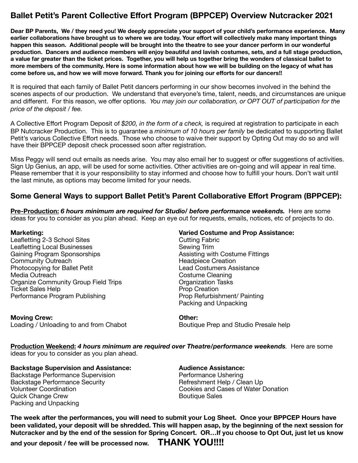### **Ballet Petit's Parent Collective Effort Program (BPPCEP) Overview Nutcracker 2021**

**Dear BP Parents, We / they need you! We deeply appreciate your support of your child's performance experience. Many earlier collaborations have brought us to where we are today. Your effort will collectively make many important things happen this season. Additional people will be brought into the theatre to see your dancer perform in our wonderful production. Dancers and audience members will enjoy beautiful and lavish costumes, sets, and a full stage production, a value far greater than the ticket prices. Together, you will help us together bring the wonders of classical ballet to more members of the community. Here is some information about how we will be building on the legacy of what has come before us, and how we will move forward. Thank you for joining our efforts for our dancers!!** 

It is required that each family of Ballet Petit dancers performing in our show becomes involved in the behind the scenes aspects of our production. We understand that everyone's time, talent, needs, and circumstances are unique and different. For this reason, we offer options. *You may join our collaboration, or OPT OUT of participation for the price of the deposit / fee.* 

A Collective Effort Program Deposit of *\$200, in the form of a check,* is required at registration to participate in each BP Nutcracker Production. This is to guarantee a *minimum of 10 hours per family* be dedicated to supporting Ballet Petit's various Collective Effort needs. Those who choose to waive their support by Opting Out may do so and will have their BPPCEP deposit check processed soon after registration.

Miss Peggy will send out emails as needs arise. You may also email her to suggest or offer suggestions of activities. Sign Up Genius, an app, will be used for some activities. Other activities are on-going and will appear in real time. Please remember that it is your responsibility to stay informed and choose how to fulfill your hours. Don't wait until the last minute, as options may become limited for your needs.

#### **Some General Ways to support Ballet Petit's Parent Collaborative Effort Program (BPPCEP):**

**Pre-Production:** *6 hours minimum are required for Studio/ before performance weekends.* Here are some ideas for you to consider as you plan ahead. Keep an eye out for requests, emails, notices, etc of projects to do.

Leafletting 2-3 School Sites butting Fabric Leafletting Local Businesses<br>
Gaining Program Sponsorships<br>
Gaining Program Sponsorships<br>
Assisting witl Community Outreach Community Outreach Community Outreach Community Outreach Community Outreach Community Outreach Community Outreach Community Outreach Community Outreach Community Outreach Community Ou Photocopying for Ballet Petit Media Outreach Costume Cleaning Organize Community Group Field Trips<br>
Ticket Sales Help<br>
Ticket Sales Help Ticket Sales Help<br>
Prop Creation<br>
Performance Program Publishing<br>
Prop Refurbishment/ Painting Performance Program Publishing

**Moving Crew: COMPLITE: COMPLITE: COMPLITE: Other: Other:** Loading / Unloading to and from Chabot **Boutique Prep and Studio Presale help** 

#### **Marketing: Varied Costume and Prop Assistance:**

Assisting with Costume Fittings<br>
Headpiece Creation Packing and Unpacking

**Production Weekend:** *4 hours minimum are required over Theatre/performance weekends.* Here are some ideas for you to consider as you plan ahead.

**Backstage Supervision and Assistance: Audience Assistance:** 

Backstage Performance Supervision **Backstage Performance Ushering** Backstage Performance Security *Backstage Performance Security*  **Refreshment Help / Clean Up** Quick Change Crew **Boutique Sales Contract Contract Contract Contract Contract Contract Contract Contract Contract Contract Contract Contract Contract Contract Contract Contract Contract Contract Contract Contract Contra** Packing and Unpacking

Volunteer Coordination **being the Cookies and Cases of Water Donation** 

**The week after the performances, you will need to submit your Log Sheet. Once your BPPCEP Hours have been validated, your deposit will be shredded. This will happen asap, by the beginning of the next session for Nutcracker and by the end of the session for Spring Concert. OR…If you choose to Opt Out, just let us know** 

**and your deposit / fee will be processed now. THANK YOU!!!!**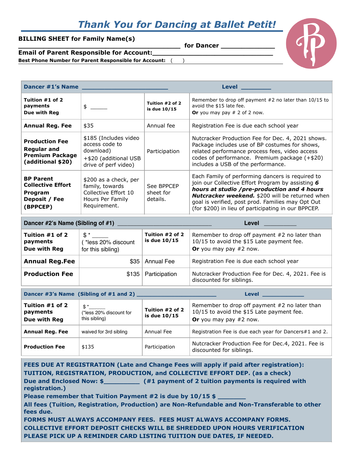# *Thank You for Dancing at Ballet Petit!*

#### **BILLING SHEET for Family Name(s)**

for Dancer



**Email of Parent Responsible for Account:\_\_\_\_\_\_\_\_\_\_\_\_\_\_\_\_\_\_\_\_\_\_\_\_\_\_\_\_\_ Best Phone Number for Parent Responsible for Account:** ( )

| Dancer #1's Name                                                                     |                                                                                                       | <b>Level</b>                        |                                                                                                                                                                                                                                                                                                                            |
|--------------------------------------------------------------------------------------|-------------------------------------------------------------------------------------------------------|-------------------------------------|----------------------------------------------------------------------------------------------------------------------------------------------------------------------------------------------------------------------------------------------------------------------------------------------------------------------------|
| Tuition #1 of 2<br>payments<br>Due with Reg                                          | $\frac{1}{2}$                                                                                         | Tuition #2 of 2<br>is due 10/15     | Remember to drop off payment $#2$ no later than 10/15 to<br>avoid the \$15 late fee.<br>Or you may pay $# 2$ of 2 now.                                                                                                                                                                                                     |
| <b>Annual Reg. Fee</b>                                                               | \$35                                                                                                  | Annual fee                          | Registration Fee is due each school year                                                                                                                                                                                                                                                                                   |
| <b>Production Fee</b><br>Regular and<br><b>Premium Package</b><br>(additional \$20)  | \$185 (Includes video<br>access code to<br>download)<br>+\$20 (additional USB<br>drive of perf video) | Participation                       | Nutcracker Production Fee for Dec. 4, 2021 shows.<br>Package includes use of BP costumes for shows,<br>related performance process fees, video access<br>codes of performance. Premium package (+\$20)<br>includes a USB of the performance.                                                                               |
| <b>BP Parent</b><br><b>Collective Effort</b><br>Program<br>Deposit / Fee<br>(BPPCEP) | \$200 as a check, per<br>family, towards<br>Collective Effort 10<br>Hours Per Family<br>Requirement.  | See BPPCEP<br>sheet for<br>details. | Each Family of performing dancers is required to<br>join our Collective Effort Program by assisting 6<br>hours at studio /pre-production and 4 hours<br><b>Nutcracker weekend.</b> \$200 will be returned when<br>goal is verified, post prod. Families may Opt Out<br>(for \$200) in lieu of participating in our BPPCEP. |

|                                             | Dancer #2's Name (Sibling of #1)                         |                                 | Level                                                                                                                    |
|---------------------------------------------|----------------------------------------------------------|---------------------------------|--------------------------------------------------------------------------------------------------------------------------|
| Tuition #1 of 2<br>payments<br>Due with Reg | $\mathbb{S}^*$<br>tess 20% discount<br>for this sibling) | Tuition #2 of 2<br>is due 10/15 | Remember to drop off payment $#2$ no later than<br>10/15 to avoid the \$15 Late payment fee.<br>Or you may pay $#2$ now. |
| <b>Annual Reg.Fee</b>                       |                                                          | \$35   Annual Fee               | Registration Fee is due each school year                                                                                 |
| <b>Production Fee</b>                       |                                                          | $$135$ Participation            | Nutcracker Production Fee for Dec. 4, 2021. Fee is<br>discounted for siblings.                                           |

|                                             | Dancer #3's Name (Sibling of #1 and 2)                     | <b>Level</b> Production of the set of the set of the set of the set of the set of the set of the set of the set of th |                                                                                                                          |
|---------------------------------------------|------------------------------------------------------------|-----------------------------------------------------------------------------------------------------------------------|--------------------------------------------------------------------------------------------------------------------------|
| Tuition #1 of 2<br>payments<br>Due with Reg | $\mathbb{S}^*$<br>(*less 20% discount for<br>this sibling) | Tuition #2 of 2<br>is due 10/15                                                                                       | Remember to drop off payment $#2$ no later than<br>10/15 to avoid the \$15 Late payment fee.<br>Or you may pay $#2$ now. |
| <b>Annual Reg. Fee</b>                      | waived for 3rd sibling                                     | Annual Fee                                                                                                            | Registration Fee is due each year for Dancers#1 and 2.                                                                   |
| <b>Production Fee</b>                       | \$135                                                      | Participation                                                                                                         | Nutcracker Production Fee for Dec.4, 2021. Fee is<br>discounted for siblings.                                            |

**FEES DUE AT REGISTRATION (Late and Change Fees will apply if paid after registration): TUITION, REGISTRATION, PRODUCTION, and COLLECTIVE EFFORT DEP. (as a check)**  Due and Enclosed Now: \$\_\_\_\_\_\_\_\_\_\_\_\_ (#1 payment of 2 tuition payments is required with **registration.)** Please remember that Tuition Payment #2 is due by 10/15 \$ **All fees (Tuition, Registration, Production) are Non-Refundable and Non-Transferable to other fees due. FORMS MUST ALWAYS ACCOMPANY FEES. FEES MUST ALWAYS ACCOMPANY FORMS. COLLECTIVE EFFORT DEPOSIT CHECKS WILL BE SHREDDED UPON HOURS VERIFICATION PLEASE PICK UP A REMINDER CARD LISTING TUITION DUE DATES, IF NEEDED.**